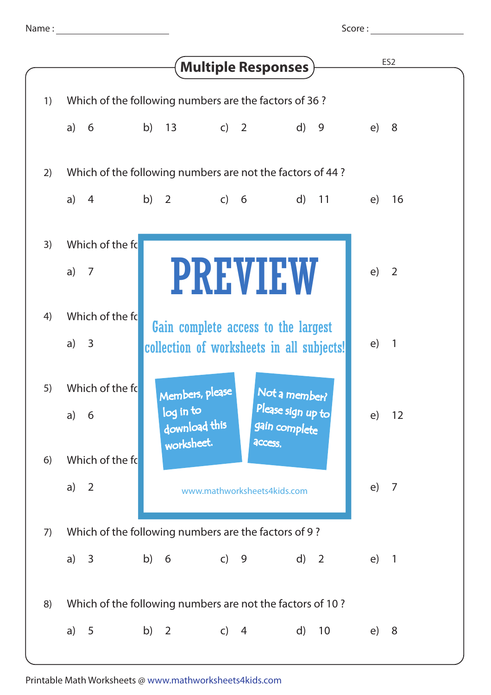Score :